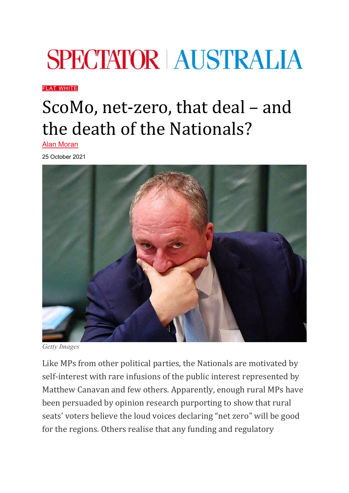## **SPECTATOR | AUSTRALIA**

[FLAT WHITE](https://spectator.com.au/category/flat-white/)

## ScoMo, net-zero, that deal – and the death of the Nationals?

[Alan Moran](https://spectator.com.au/author/alanmoran/)

25 October 2021



*Getty Images*

Like MPs from other political parties, the Nationals are motivated by self-interest with rare infusions of the public interest represented by Matthew Canavan and few others. Apparently, enough rural MPs have been persuaded by opinion research purporting to show that rural seats' voters believe the loud voices declaring "net zero" will be good for the regions. Others realise that any funding and regulatory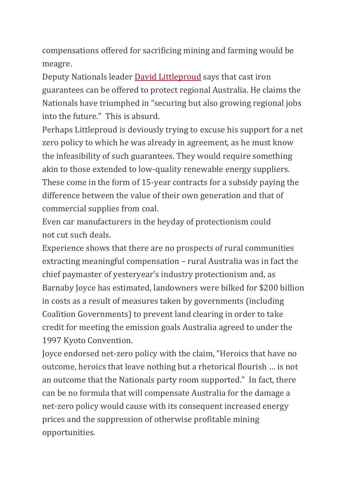compensations offered for sacrificing mining and farming would be meagre.

Deputy Nationals leader [David Littleproud](https://www.theaustralian.com.au/nation/politics/nationals-demand-net-zero-guarantees-be-set-in-stone/news-story/def99a6fe28ac19d99e772608f8b7422) says that cast iron guarantees can be offered to protect regional Australia. He claims the Nationals have triumphed in "securing but also growing regional jobs into the future." This is absurd.

Perhaps Littleproud is deviously trying to excuse his support for a net zero policy to which he was already in agreement, as he must know the infeasibility of such guarantees. They would require something akin to those extended to low-quality renewable energy suppliers. These come in the form of 15-year contracts for a subsidy paying the difference between the value of their own generation and that of commercial supplies from coal.

Even car manufacturers in the heyday of protectionism could not cut such deals.

Experience shows that there are no prospects of rural communities extracting meaningful compensation – rural Australia was in fact the chief paymaster of yesteryear's industry protectionism and, as Barnaby Joyce has estimated, landowners were bilked for \$200 billion in costs as a result of measures taken by governments (including Coalition Governments) to prevent land clearing in order to take credit for meeting the emission goals Australia agreed to under the 1997 Kyoto Convention.

Joyce endorsed net-zero policy with the claim, "Heroics that have no outcome, heroics that leave nothing but a rhetorical flourish … is not an outcome that the Nationals party room supported." In fact, there can be no formula that will compensate Australia for the damage a net-zero policy would cause with its consequent increased energy prices and the suppression of otherwise profitable mining opportunities.